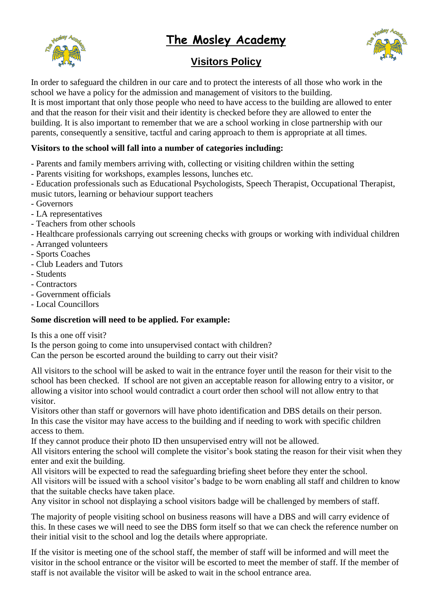# **The Mosley Academy**





# **Visitors Policy**

In order to safeguard the children in our care and to protect the interests of all those who work in the school we have a policy for the admission and management of visitors to the building. It is most important that only those people who need to have access to the building are allowed to enter and that the reason for their visit and their identity is checked before they are allowed to enter the building. It is also important to remember that we are a school working in close partnership with our parents, consequently a sensitive, tactful and caring approach to them is appropriate at all times.

# **Visitors to the school will fall into a number of categories including:**

- Parents and family members arriving with, collecting or visiting children within the setting
- Parents visiting for workshops, examples lessons, lunches etc.
- Education professionals such as Educational Psychologists, Speech Therapist, Occupational Therapist, music tutors, learning or behaviour support teachers
- Governors
- LA representatives
- Teachers from other schools
- Healthcare professionals carrying out screening checks with groups or working with individual children
- Arranged volunteers
- Sports Coaches
- Club Leaders and Tutors
- Students
- Contractors
- Government officials
- Local Councillors

## **Some discretion will need to be applied. For example:**

Is this a one off visit?

Is the person going to come into unsupervised contact with children? Can the person be escorted around the building to carry out their visit?

All visitors to the school will be asked to wait in the entrance foyer until the reason for their visit to the school has been checked. If school are not given an acceptable reason for allowing entry to a visitor, or allowing a visitor into school would contradict a court order then school will not allow entry to that visitor.

Visitors other than staff or governors will have photo identification and DBS details on their person. In this case the visitor may have access to the building and if needing to work with specific children access to them.

If they cannot produce their photo ID then unsupervised entry will not be allowed.

All visitors entering the school will complete the visitor's book stating the reason for their visit when they enter and exit the building.

All visitors will be expected to read the safeguarding briefing sheet before they enter the school.

All visitors will be issued with a school visitor's badge to be worn enabling all staff and children to know that the suitable checks have taken place.

Any visitor in school not displaying a school visitors badge will be challenged by members of staff.

The majority of people visiting school on business reasons will have a DBS and will carry evidence of this. In these cases we will need to see the DBS form itself so that we can check the reference number on their initial visit to the school and log the details where appropriate.

If the visitor is meeting one of the school staff, the member of staff will be informed and will meet the visitor in the school entrance or the visitor will be escorted to meet the member of staff. If the member of staff is not available the visitor will be asked to wait in the school entrance area.